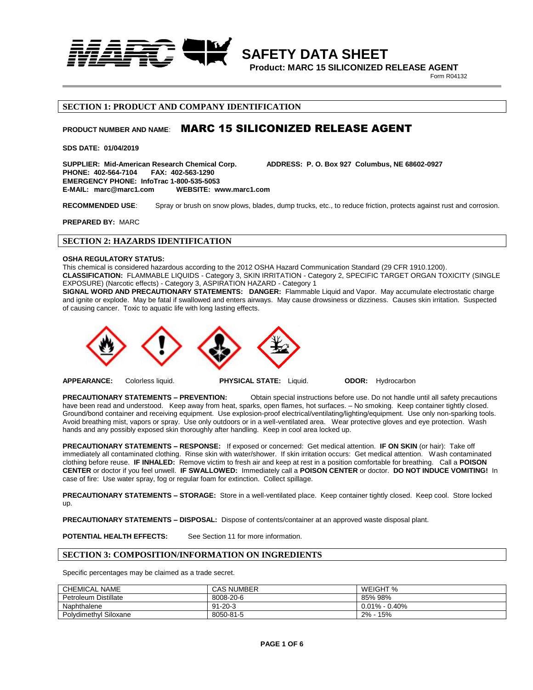

**Product: MARC 15 SILICONIZED RELEASE AGENT**

**1989 Property R04132** 

### **SECTION 1: PRODUCT AND COMPANY IDENTIFICATION**

# **PRODUCT NUMBER AND NAME**: MARC 15 SILICONIZED RELEASE AGENT

**SDS DATE: 01/04/2019**

SUPPLIER: Mid-American Research Chemical Corp. **ADDRESS: P. O. Box 927 Columbus, NE 68602-0927**<br>PHONE: 402-564-7104 FAX: 402-563-1290 **PHONE: 402-564-7104 EMERGENCY PHONE: InfoTrac 1-800-535-5053 E-MAIL: marc@marc1.com** 

**RECOMMENDED USE**: Spray or brush on snow plows, blades, dump trucks, etc., to reduce friction, protects against rust and corrosion.

**PREPARED BY:** MARC

# **SECTION 2: HAZARDS IDENTIFICATION**

#### **OSHA REGULATORY STATUS:**

This chemical is considered hazardous according to the 2012 OSHA Hazard Communication Standard (29 CFR 1910.1200). **CLASSIFICATION:** FLAMMABLE LIQUIDS - Category 3, SKIN IRRITATION - Category 2, SPECIFIC TARGET ORGAN TOXICITY (SINGLE EXPOSURE) (Narcotic effects) - Category 3, ASPIRATION HAZARD - Category 1

**SIGNAL WORD AND PRECAUTIONARY STATEMENTS: DANGER:** Flammable Liquid and Vapor. May accumulate electrostatic charge and ignite or explode. May be fatal if swallowed and enters airways. May cause drowsiness or dizziness. Causes skin irritation. Suspected of causing cancer. Toxic to aquatic life with long lasting effects.



**APPEARANCE:** Colorless liquid. **PHYSICAL STATE:** Liquid. **ODOR:** Hydrocarbon

**PRECAUTIONARY STATEMENTS – PREVENTION:** Obtain special instructions before use. Do not handle until all safety precautions have been read and understood. Keep away from heat, sparks, open flames, hot surfaces. – No smoking. Keep container tightly closed. Ground/bond container and receiving equipment. Use explosion-proof electrical/ventilating/lighting/equipment. Use only non-sparking tools. Avoid breathing mist, vapors or spray. Use only outdoors or in a well-ventilated area. Wear protective gloves and eye protection. Wash hands and any possibly exposed skin thoroughly after handling. Keep in cool area locked up.

**PRECAUTIONARY STATEMENTS – RESPONSE:** If exposed or concerned: Get medical attention. **IF ON SKIN** (or hair): Take off immediately all contaminated clothing. Rinse skin with water/shower. If skin irritation occurs: Get medical attention. Wash contaminated clothing before reuse. **IF INHALED:** Remove victim to fresh air and keep at rest in a position comfortable for breathing. Call a **POISON CENTER** or doctor if you feel unwell. **IF SWALLOWED:** Immediately call a **POISON CENTER** or doctor. **DO NOT INDUCE VOMITING!** In case of fire: Use water spray, fog or regular foam for extinction. Collect spillage.

**PRECAUTIONARY STATEMENTS – STORAGE:** Store in a well-ventilated place. Keep container tightly closed. Keep cool. Store locked up.

**PRECAUTIONARY STATEMENTS – DISPOSAL:** Dispose of contents/container at an approved waste disposal plant.

**POTENTIAL HEALTH EFFECTS:** See Section 11 for more information.

### **SECTION 3: COMPOSITION/INFORMATION ON INGREDIENTS**

Specific percentages may be claimed as a trade secret.

| <b>CHEMICAL NAME</b>        | <b>CAS NUMBER</b> | WEIGHT %          |
|-----------------------------|-------------------|-------------------|
| <b>Petroleum Distillate</b> | 8008-20-6         | 85% 98%           |
| Naphthalene                 | $91 - 20 - 3$     | $0.01\% - 0.40\%$ |
| Polydimethyl Siloxane       | 8050-81-5         | $2% -$<br>15%     |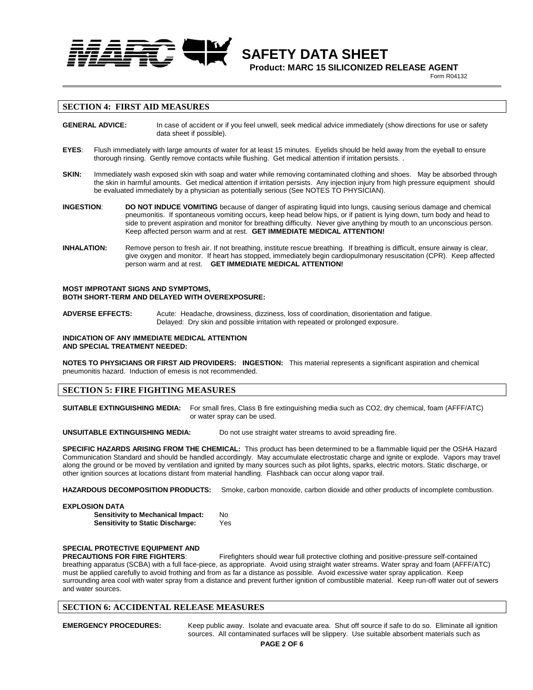

 **Product: MARC 15 SILICONIZED RELEASE AGENT 1989 Property R04132** 

### **SECTION 4: FIRST AID MEASURES**

**GENERAL ADVICE:** In case of accident or if you feel unwell, seek medical advice immediately (show directions for use or safety data sheet if possible).

- **EYES**: Flush immediately with large amounts of water for at least 15 minutes. Eyelids should be held away from the eyeball to ensure thorough rinsing. Gently remove contacts while flushing. Get medical attention if irritation persists. .
- **SKIN:** Immediately wash exposed skin with soap and water while removing contaminated clothing and shoes. May be absorbed through the skin in harmful amounts. Get medical attention if irritation persists. Any injection injury from high pressure equipment should be evaluated immediately by a physician as potentially serious (See NOTES TO PHYSICIAN).
- **INGESTION**: **DO NOT INDUCE VOMITING** because of danger of aspirating liquid into lungs, causing serious damage and chemical pneumonitis. If spontaneous vomiting occurs, keep head below hips, or if patient is lying down, turn body and head to side to prevent aspiration and monitor for breathing difficulty. Never give anything by mouth to an unconscious person. Keep affected person warm and at rest. **GET IMMEDIATE MEDICAL ATTENTION!**
- **INHALATION:** Remove person to fresh air. If not breathing, institute rescue breathing. If breathing is difficult, ensure airway is clear, give oxygen and monitor. If heart has stopped, immediately begin cardiopulmonary resuscitation (CPR). Keep affected person warm and at rest. **GET IMMEDIATE MEDICAL ATTENTION!**

**MOST IMPROTANT SIGNS AND SYMPTOMS, BOTH SHORT-TERM AND DELAYED WITH OVEREXPOSURE:**

**ADVERSE EFFECTS:** Acute: Headache, drowsiness, dizziness, loss of coordination, disorientation and fatigue. Delayed: Dry skin and possible irritation with repeated or prolonged exposure.

#### **INDICATION OF ANY IMMEDIATE MEDICAL ATTENTION AND SPECIAL TREATMENT NEEDED:**

**NOTES TO PHYSICIANS OR FIRST AID PROVIDERS: INGESTION:** This material represents a significant aspiration and chemical pneumonitis hazard. Induction of emesis is not recommended.

# **SECTION 5: FIRE FIGHTING MEASURES**

**SUITABLE EXTINGUISHING MEDIA:** For small fires, Class B fire extinguishing media such as CO2, dry chemical, foam (AFFF/ATC) or water spray can be used.

**UNSUITABLE EXTINGUISHING MEDIA:** Do not use straight water streams to avoid spreading fire.

**SPECIFIC HAZARDS ARISING FROM THE CHEMICAL:** This product has been determined to be a flammable liquid per the OSHA Hazard Communication Standard and should be handled accordingly. May accumulate electrostatic charge and ignite or explode. Vapors may travel along the ground or be moved by ventilation and ignited by many sources such as pilot lights, sparks, electric motors. Static discharge, or other ignition sources at locations distant from material handling. Flashback can occur along vapor trail.

HAZARDOUS DECOMPOSITION PRODUCTS: Smoke, carbon monoxide, carbon dioxide and other products of incomplete combustion.

#### **EXPLOSION DATA**

| <b>Sensitivity to Mechanical Impact:</b> | No  |
|------------------------------------------|-----|
| <b>Sensitivity to Static Discharge:</b>  | Yes |

# **SPECIAL PROTECTIVE EQUIPMENT AND**

**PRECAUTIONS FOR FIRE FIGHTERS**: Firefighters should wear full protective clothing and positive-pressure self-contained breathing apparatus (SCBA) with a full face-piece, as appropriate. Avoid using straight water streams. Water spray and foam (AFFF/ATC) must be applied carefully to avoid frothing and from as far a distance as possible. Avoid excessive water spray application. Keep surrounding area cool with water spray from a distance and prevent further ignition of combustible material. Keep run-off water out of sewers and water sources.

#### **SECTION 6: ACCIDENTAL RELEASE MEASURES**

**EMERGENCY PROCEDURES:** Keep public away. Isolate and evacuate area. Shut off source if safe to do so. Eliminate all ignition sources. All contaminated surfaces will be slippery. Use suitable absorbent materials such as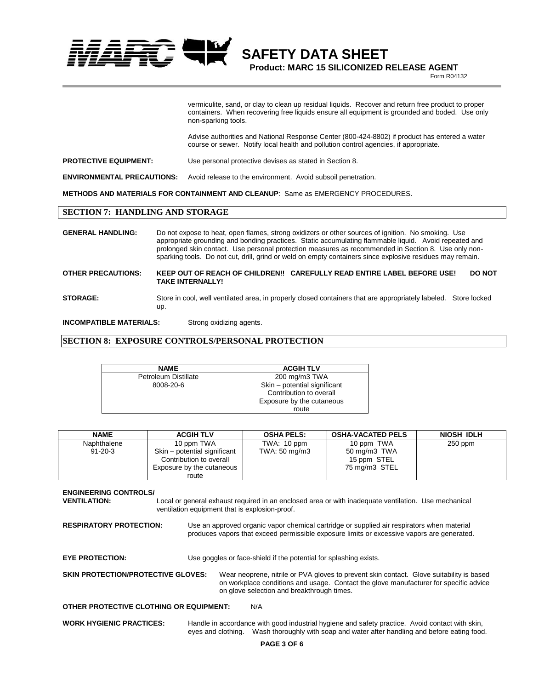

**Product: MARC 15 SILICONIZED RELEASE AGENT**

**1989 Property R04132** 

vermiculite, sand, or clay to clean up residual liquids. Recover and return free product to proper containers. When recovering free liquids ensure all equipment is grounded and boded. Use only non-sparking tools.

Advise authorities and National Response Center (800-424-8802) if product has entered a water course or sewer. Notify local health and pollution control agencies, if appropriate.

**PROTECTIVE EQUIPMENT:** Use personal protective devises as stated in Section 8.

**ENVIRONMENTAL PRECAUTIONS:** Avoid release to the environment. Avoid subsoil penetration.

**METHODS AND MATERIALS FOR CONTAINMENT AND CLEANUP**: Same as EMERGENCY PROCEDURES.

# **SECTION 7: HANDLING AND STORAGE**

**GENERAL HANDLING:** Do not expose to heat, open flames, strong oxidizers or other sources of ignition. No smoking. Use appropriate grounding and bonding practices. Static accumulating flammable liquid. Avoid repeated and prolonged skin contact. Use personal protection measures as recommended in Section 8. Use only nonsparking tools. Do not cut, drill, grind or weld on empty containers since explosive residues may remain. **OTHER PRECAUTIONS: KEEP OUT OF REACH OF CHILDREN!! CAREFULLY READ ENTIRE LABEL BEFORE USE! DO NOT TAKE INTERNALLY! STORAGE:** Store in cool, well ventilated area, in properly closed containers that are appropriately labeled. Store locked up.

**INCOMPATIBLE MATERIALS:** Strong oxidizing agents.

#### **SECTION 8: EXPOSURE CONTROLS/PERSONAL PROTECTION**

| <b>NAME</b>                 | <b>ACGIH TLV</b>             |
|-----------------------------|------------------------------|
| <b>Petroleum Distillate</b> | 200 mg/m3 TWA                |
| 8008-20-6                   | Skin - potential significant |
|                             | Contribution to overall      |
|                             | Exposure by the cutaneous    |
|                             | route                        |

| <b>NAME</b>   | <b>ACGIH TLV</b>                                                                     | <b>OSHA PELS:</b> | <b>OSHA-VACATED PELS</b>                     | NIOSH IDLH |
|---------------|--------------------------------------------------------------------------------------|-------------------|----------------------------------------------|------------|
| Naphthalene   | 10 ppm TWA                                                                           | TWA: $10$ ppm     | 10 ppm TWA                                   | $250$ ppm  |
| $91 - 20 - 3$ | Skin - potential significant<br>Contribution to overall<br>Exposure by the cutaneous | TWA: 50 mg/m3     | 50 mg/m3 TWA<br>15 ppm STEL<br>75 mg/m3 STEL |            |
|               | route                                                                                |                   |                                              |            |

**ENGINEERING CONTROLS/ VENTILATION:** Local or general exhaust required in an enclosed area or with inadequate ventilation. Use mechanical ventilation equipment that is explosion-proof. **RESPIRATORY PROTECTION:** Use an approved organic vapor chemical cartridge or supplied air respirators when material produces vapors that exceed permissible exposure limits or excessive vapors are generated. **EYE PROTECTION:** Use goggles or face-shield if the potential for splashing exists. **SKIN PROTECTION/PROTECTIVE GLOVES:** Wear neoprene, nitrile or PVA gloves to prevent skin contact. Glove suitability is based on workplace conditions and usage. Contact the glove manufacturer for specific advice on glove selection and breakthrough times. **OTHER PROTECTIVE CLOTHING OR EQUIPMENT:** N/A **WORK HYGIENIC PRACTICES:** Handle in accordance with good industrial hygiene and safety practice. Avoid contact with skin, eyes and clothing. Wash thoroughly with soap and water after handling and before eating food.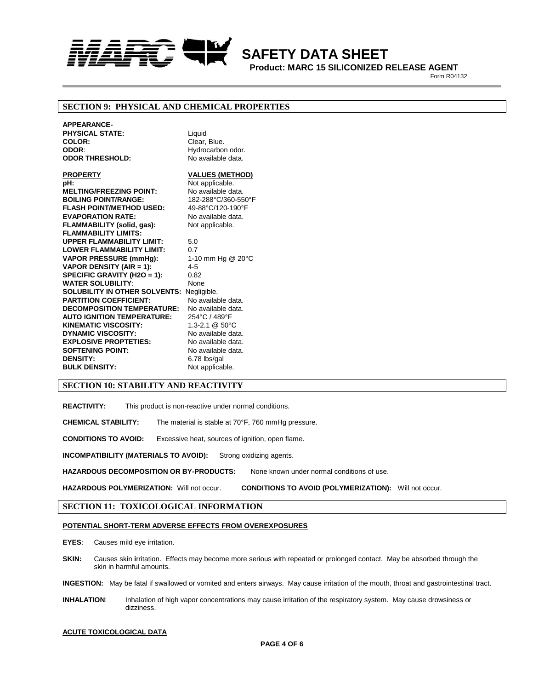

 **Product: MARC 15 SILICONIZED RELEASE AGENT 1989 Property R04132** 

### **SECTION 9: PHYSICAL AND CHEMICAL PROPERTIES**

**APPEARANCE-PHYSICAL STATE:** Liquid **COLOR:** Clear, Blue. **ODOR:** Hydrocarbon odor. **ODOR THRESHOLD:** No available data.

**PROPERTY VALUES (METHOD) pH:** Not applicable.<br> **MELTING/FREEZING POINT:** No available data. **MELTING/FREEZING POINT: BOILING POINT/RANGE:** 182-288°C/360-550°F **FLASH POINT/METHOD USED:** 49-88°C/120-190°F **EVAPORATION RATE:** No available data. **FLAMMABILITY (solid, gas):** Not applicable. **FLAMMABILITY LIMITS: UPPER FLAMMABILITY LIMIT:** 5.0 **LOWER FLAMMABILITY LIMIT:** 0.7<br> **VAPOR PRESSURE (mmHg):** 1-10 mm Hg @ 20°C **VAPOR PRESSURE (mmHg): VAPOR DENSITY (AIR = 1):** 4-5 **SPECIFIC GRAVITY (H2O = 1):** 0.82 **WATER SOLUBILITY:** None **SOLUBILITY IN OTHER SOLVENTS:** Negligible. **PARTITION COEFFICIENT:** No available data. **DECOMPOSITION TEMPERATURE:** No available data. **AUTO IGNITION TEMPERATURE:** 254°C / 489°F **KINEMATIC VISCOSITY:** 1.3-2.1 @ 50°C **DYNAMIC VISCOSITY:** No available data.<br> **EXPLOSIVE PROPTETIES:** No available data. **EXPLOSIVE PROPTETIES:** No available data.<br>**SOFTENING POINT:** No available data. **SOFTENING POINT:**<br>DENSITY: **BULK DENSITY:** Not applicable.

**DENSITY:** 6.78 lbs/gal

# **SECTION 10: STABILITY AND REACTIVITY**

**REACTIVITY:** This product is non-reactive under normal conditions.

**CHEMICAL STABILITY:** The material is stable at 70°F, 760 mmHg pressure.

**CONDITIONS TO AVOID:** Excessive heat, sources of ignition, open flame.

**INCOMPATIBILITY (MATERIALS TO AVOID):** Strong oxidizing agents.

**HAZARDOUS DECOMPOSITION OR BY-PRODUCTS:** None known under normal conditions of use.

**HAZARDOUS POLYMERIZATION:** Will not occur. **CONDITIONS TO AVOID (POLYMERIZATION):** Will not occur.

#### **SECTION 11: TOXICOLOGICAL INFORMATION**

#### **POTENTIAL SHORT-TERM ADVERSE EFFECTS FROM OVEREXPOSURES**

**EYES**: Causes mild eye irritation.

**SKIN:** Causes skin irritation. Effects may become more serious with repeated or prolonged contact. May be absorbed through the skin in harmful amounts.

**INGESTION:** May be fatal if swallowed or vomited and enters airways. May cause irritation of the mouth, throat and gastrointestinal tract.

**INHALATION**: Inhalation of high vapor concentrations may cause irritation of the respiratory system. May cause drowsiness or dizziness.

#### **ACUTE TOXICOLOGICAL DATA**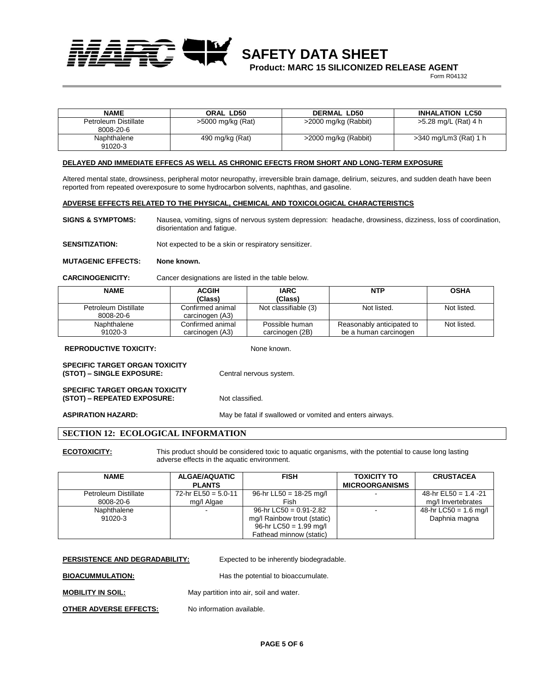**Product: MARC 15 SILICONIZED RELEASE AGENT**

**1989 Property R04132** 

| <b>NAME</b>          | ORAL LD50           | <b>DERMAL LD50</b>   | <b>INHALATION LC50</b> |
|----------------------|---------------------|----------------------|------------------------|
| Petroleum Distillate | $>5000$ mg/kg (Rat) | >2000 mg/kg (Rabbit) | >5.28 mg/L (Rat) 4 h   |
| 8008-20-6            |                     |                      |                        |
| Naphthalene          | 490 mg/kg (Rat)     | >2000 mg/kg (Rabbit) | >340 mg/Lm3 (Rat) 1 h  |
| 91020-3              |                     |                      |                        |

#### **DELAYED AND IMMEDIATE EFFECS AS WELL AS CHRONIC EFECTS FROM SHORT AND LONG-TERM EXPOSURE**

Altered mental state, drowsiness, peripheral motor neuropathy, irreversible brain damage, delirium, seizures, and sudden death have been reported from repeated overexposure to some hydrocarbon solvents, naphthas, and gasoline.

#### **ADVERSE EFFECTS RELATED TO THE PHYSICAL, CHEMICAL AND TOXICOLOGICAL CHARACTERISTICS**

**SIGNS & SYMPTOMS:** Nausea, vomiting, signs of nervous system depression: headache, drowsiness, dizziness, loss of coordination, disorientation and fatigue.

**SENSITIZATION:** Not expected to be a skin or respiratory sensitizer.

#### **MUTAGENIC EFFECTS: None known.**

**CARCINOGENICITY:** Cancer designations are listed in the table below.

| <b>NAME</b>          | <b>ACGIH</b>     | <b>IARC</b>          | <b>NTP</b>                | <b>OSHA</b> |
|----------------------|------------------|----------------------|---------------------------|-------------|
|                      | (Class)          | (Class)              |                           |             |
| Petroleum Distillate | Confirmed animal | Not classifiable (3) | Not listed.               | Not listed. |
| 8008-20-6            | carcinogen (A3)  |                      |                           |             |
| Naphthalene          | Confirmed animal | Possible human       | Reasonably anticipated to | Not listed. |
| 91020-3              | carcinogen (A3)  | carcinogen (2B)      | be a human carcinogen     |             |

#### **REPRODUCTIVE TOXICITY:** None known.

**SPECIFIC TARGET ORGAN TOXICITY (STOT) – SINGLE EXPOSURE:** Central nervous system.

**SPECIFIC TARGET ORGAN TOXICITY (STOT) – REPEATED EXPOSURE:** Not classified.

**ASPIRATION HAZARD:** May be fatal if swallowed or vomited and enters airways.

# **SECTION 12: ECOLOGICAL INFORMATION**

**ECOTOXICITY:** This product should be considered toxic to aquatic organisms, with the potential to cause long lasting adverse effects in the aquatic environment.

| <b>NAME</b>          | <b>ALGAE/AQUATIC</b>  | <b>FISH</b>                 | <b>TOXICITY TO</b>       | <b>CRUSTACEA</b>        |
|----------------------|-----------------------|-----------------------------|--------------------------|-------------------------|
|                      | <b>PLANTS</b>         |                             | <b>MICROORGANISMS</b>    |                         |
| Petroleum Distillate | 72-hr EL50 = $5.0-11$ | 96-hr LL50 = $18-25$ mg/l   | $\overline{\phantom{a}}$ | 48-hr EL50 = $1.4 - 21$ |
| 8008-20-6            | mg/l Algae            | Fish                        |                          | mg/I Invertebrates      |
| Naphthalene          |                       | 96-hr LC50 = $0.91 - 2.82$  |                          | 48-hr LC50 = 1.6 mg/l   |
| 91020-3              |                       | mg/l Rainbow trout (static) |                          | Daphnia magna           |
|                      |                       | 96-hr LC50 = $1.99$ mg/l    |                          |                         |
|                      |                       | Fathead minnow (static)     |                          |                         |

**PERSISTENCE AND DEGRADABILITY:** Expected to be inherently biodegradable.

**BIOACUMMULATION:** Has the potential to bioaccumulate.

**MOBILITY IN SOIL:** May partition into air, soil and water.

**OTHER ADVERSE EFFECTS:** No information available.